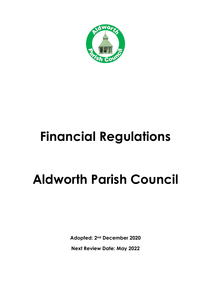

## **Financial Regulations**

# **Aldworth Parish Council**

**Adopted: 2nd December 2020 Next Review Date: May 2022**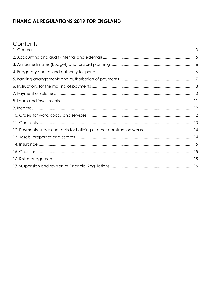#### **FINANCIAL REGULATIONS 2019 FOR ENGLAND**

## Contents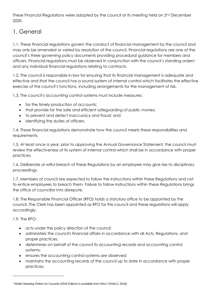These Financial Regulations were adopted by the council at its meeting held on 2nd December 2020.

## <span id="page-2-0"></span>1. General

1.1. These financial regulations govern the conduct of financial management by the council and may only be amended or varied by resolution of the council. Financial regulations are one of the council's three governing policy documents providing procedural guidance for members and officers. Financial regulations must be observed in conjunction with the council's standing orders<sup>1</sup> and any individual financial regulations relating to contracts.

1.2. The council is responsible in law for ensuring that its financial management is adequate and effective and that the council has a sound system of internal control which facilitates the effective exercise of the council's functions, including arrangements for the management of risk.

1.3. The council's accounting control systems must include measures:

- for the timely production of accounts;
- that provide for the safe and efficient safeguarding of public money;
- to prevent and detect inaccuracy and fraud; and
- identifying the duties of officers.

1.4. These financial regulations demonstrate how the council meets these responsibilities and requirements.

1.5. At least once a year, prior to approving the Annual Governance Statement, the council must review the effectiveness of its system of internal control which shall be in accordance with proper practices.

1.6. Deliberate or wilful breach of these Regulations by an employee may give rise to disciplinary proceedings.

1.7. Members of council are expected to follow the instructions within these Regulations and not to entice employees to breach them. Failure to follow instructions within these Regulations brings the office of councillor into disrepute.

1.8. The Responsible Financial Officer (RFO) holds a statutory office to be appointed by the council. The Clerk has been appointed as RFO for this council and these regulations will apply accordingly.

1.9. The RFO;

- acts under the policy direction of the council;
- administers the council's financial affairs in accordance with all Acts, Regulations, and proper practices;
- determines on behalf of the council its accounting records and accounting control systems;
- ensures the accounting control systems are observed;
- maintains the accounting records of the council up to date in accordance with proper practices;

<sup>1</sup> Model Standing Orders for Councils (2018 Edition) is available from NALC (©NALC 2018)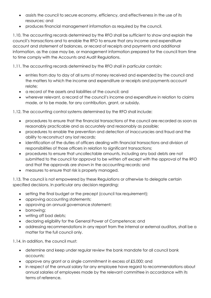- assists the council to secure economy, efficiency, and effectiveness in the use of its resources; and
- produces financial management information as required by the council.

1.10. The accounting records determined by the RFO shall be sufficient to show and explain the council's transactions and to enable the RFO to ensure that any income and expenditure account and statement of balances, or record of receipts and payments and additional information, as the case may be, or management information prepared for the council from time to time comply with the Accounts and Audit Regulations.

1.11. The accounting records determined by the RFO shall in particular contain:

- entries from day to day of all sums of money received and expended by the council and the matters to which the income and expenditure or receipts and payments account relate;
- a record of the assets and liabilities of the council; and
- wherever relevant, a record of the council's income and expenditure in relation to claims made, or to be made, for any contribution, grant, or subsidy.

1.12. The accounting control systems determined by the RFO shall include:

- procedures to ensure that the financial transactions of the council are recorded as soon as reasonably practicable and as accurately and reasonably as possible;
- procedures to enable the prevention and detection of inaccuracies and fraud and the ability to reconstruct any lost records;
- identification of the duties of officers dealing with financial transactions and division of responsibilities of those officers in relation to significant transactions;
- procedures to ensure that uncollectable amounts, including any bad debts are not submitted to the council for approval to be written off except with the approval of the RFO and that the approvals are shown in the accounting records; and
- measures to ensure that risk is properly managed.

1.13. The council is not empowered by these Regulations or otherwise to delegate certain specified decisions. In particular any decision regarding:

- setting the final budget or the precept (council tax requirement);
- approving accounting statements;
- approving an annual governance statement;
- borrowing;
- writing off bad debts;
- declaring eligibility for the General Power of Competence; and
- addressing recommendations in any report from the internal or external auditors, shall be a matter for the full council only.

1.14. In addition, the council must:

- determine and keep under regular review the bank mandate for all council bank accounts;
- approve any grant or a single commitment in excess of £5,000; and
- in respect of the annual salary for any employee have regard to recommendations about annual salaries of employees made by the relevant committee in accordance with its terms of reference.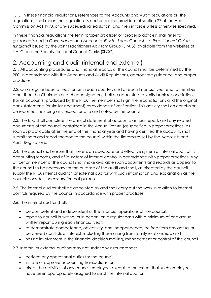1.15. In these financial regulations, references to the Accounts and Audit Regulations or 'the regulations' shall mean the regulations issued under the provisions of section 27 of the Audit Commission Act 1998, or any superseding legislation, and then in force unless otherwise specified.

In these financial regulations the term 'proper practice' or 'proper practices' shall refer to guidance issued in *Governance and Accountability for Local Councils - a Practitioners' Guide (England)* issued by the Joint Practitioners Advisory Group (JPAG), available from the websites of NALC and the Society for Local Council Clerks (SLCC).

## <span id="page-4-0"></span>2. Accounting and audit (internal and external)

2.1. All accounting procedures and financial records of the council shall be determined by the RFO in accordance with the Accounts and Audit Regulations, appropriate guidance, and proper practices.

2.2. On a regular basis, at least once in each quarter, and at each financial year end, a member other than the Chairman or a cheque signatory shall be appointed to verify bank reconciliations (for all accounts) produced by the RFO. The member shall sign the reconciliations and the original bank statements (or similar document) as evidence of verification. This activity shall on conclusion be reported, including any exceptions, to and noted by the council.

2.3. The RFO shall complete the annual statement of accounts, annual report, and any related documents of the council contained in the Annual Return (as specified in proper practices) as soon as practicable after the end of the financial year and having certified the accounts shall submit them and report thereon to the council within the timescales set by the Accounts and Audit Regulations.

2.4. The council shall ensure that there is an adequate and effective system of internal audit of its accounting records, and of its system of internal control in accordance with proper practices. Any officer or member of the council shall make available such documents and records as appear to the council to be necessary for the purpose of the audit and shall, as directed by the council, supply the RFO, internal auditor, or external auditor with such information and explanation as the council considers necessary for that purpose.

2.5. The internal auditor shall be appointed by and shall carry out the work in relation to internal controls required by the council in accordance with proper practices.

2.6. The internal auditor shall:

- be competent and independent of the financial operations of the council;
- report to council in writing, or in person, on a regular basis with a minimum of one annual written report during each financial year;
- to demonstrate competence, objectivity, and independence, be free from any actual or perceived conflicts of interest, including those arising from family relationships; and
- has no involvement in the financial decision making, management or control of the council

2.7. Internal or external auditors may not under any circumstances:

- perform any operational duties for the council;
- initiate or approve accounting transactions; or
- direct the activities of any council employee, except to the extent that such employees have been appropriately assigned to assist the internal auditor.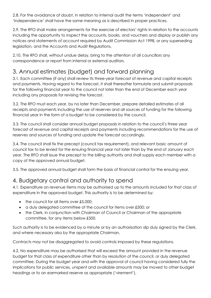2.8. For the avoidance of doubt, in relation to internal audit the terms 'independent' and 'independence' shall have the same meaning as is described in proper practices.

2.9. The RFO shall make arrangements for the exercise of electors' rights in relation to the accounts including the opportunity to inspect the accounts, books, and vouchers and display or publish any notices and statements of account required by Audit Commission Act 1998, or any superseding legislation, and the Accounts and Audit Regulations.

2.10. The RFO shall, without undue delay, bring to the attention of all councillors any correspondence or report from internal or external auditors.

## <span id="page-5-0"></span>3. Annual estimates (budget) and forward planning

3.1. Each committee (if any) shall review its three-year forecast of revenue and capital receipts and payments. Having regard to the forecast, it shall thereafter formulate and submit proposals for the following financial year to the council not later than the end of December each year including any proposals for revising the forecast.

3.2. The RFO must each year, by no later than December, prepare detailed estimates of all receipts and payments including the use of reserves and all sources of funding for the following financial year in the form of a budget to be considered by the council.

3.3. The council shall consider annual budget proposals in relation to the council's three year forecast of revenue and capital receipts and payments including recommendations for the use of reserves and sources of funding and update the forecast accordingly.

3.4. The council shall fix the precept (council tax requirement), and relevant basic amount of council tax to be levied for the ensuing financial year not later than by the end of January each year. The RFO shall issue the precept to the billing authority and shall supply each member with a copy of the approved annual budget.

3.5. The approved annual budget shall form the basis of financial control for the ensuing year.

## <span id="page-5-1"></span>4. Budgetary control and authority to spend

4.1. Expenditure on revenue items may be authorised up to the amounts included for that class of expenditure in the approved budget. This authority is to be determined by:

- the council for all items over £5,000;
- a duly delegated committee of the council for items over £500; or
- the Clerk, in conjunction with Chairman of Council or Chairman of the appropriate committee, for any items below £500.

Such authority is to be evidenced by a minute or by an authorisation slip duly signed by the Clerk, and where necessary also by the appropriate Chairman.

Contracts may not be disaggregated to avoid controls imposed by these regulations.

4.2. No expenditure may be authorised that will exceed the amount provided in the revenue budget for that class of expenditure other than by resolution of the council, or duly delegated committee. During the budget year and with the approval of council having considered fully the implications for public services, unspent and available amounts may be moved to other budget headings or to an earmarked reserve as appropriate ('virement').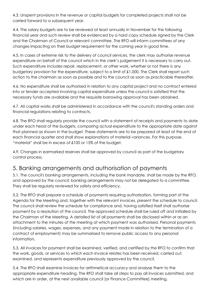4.3. Unspent provisions in the revenue or capital budgets for completed projects shall not be carried forward to a subsequent year.

4.4. The salary budgets are to be reviewed at least annually in November for the following financial year and such review shall be evidenced by a hard copy schedule signed by the Clerk and the Chairman of Council or relevant committee. The RFO will inform committees of any changes impacting on their budget requirement for the coming year in good time.

4.5. In cases of extreme risk to the delivery of council services, the clerk may authorise revenue expenditure on behalf of the council which in the clerk's judgement it is necessary to carry out. Such expenditure includes repair, replacement, or other work, whether or not there is any budgetary provision for the expenditure, subject to a limit of £1,000. The Clerk shall report such action to the chairman as soon as possible and to the council as soon as practicable thereafter.

4.6. No expenditure shall be authorised in relation to any capital project and no contract entered into or tender accepted involving capital expenditure unless the council is satisfied that the necessary funds are available and the requisite borrowing approval has been obtained.

4.7. All capital works shall be administered in accordance with the council's standing orders and financial regulations relating to contracts.

4.8. The RFO shall regularly provide the council with a statement of receipts and payments to date under each head of the budgets, comparing actual expenditure to the appropriate date against that planned as shown in the budget. These statements are to be prepared at least at the end of each financial quarter and shall show explanations of material variances. For this purpose, "material" shall be in excess of £100 or 15% of the budget.

4.9. Changes in earmarked reserves shall be approved by council as part of the budgetary control process.

## <span id="page-6-0"></span>5. Banking arrangements and authorisation of payments

5.1. The council's banking arrangements, including the bank mandate, shall be made by the RFO, and approved by the council; banking arrangements may not be delegated to a committee. They shall be regularly reviewed for safety and efficiency.

5.2. The RFO shall prepare a schedule of payments requiring authorisation, forming part of the Agenda for the Meeting and, together with the relevant invoices, present the schedule to council. The council shall review the schedule for compliance and, having satisfied itself shall authorise payment by a resolution of the council. The approved schedule shall be ruled off and initialled by the Chairman of the Meeting. A detailed list of all payments shall be disclosed within or as an attachment to the minutes of the meeting at which payment was authorised. Personal payments (including salaries, wages, expenses, and any payment made in relation to the termination of a contract of employment) may be summarised to remove public access to any personal information.

5.3. All invoices for payment shall be examined, verified, and certified by the RFO to confirm that the work, goods, or services to which each invoice relates has been received, carried out, examined, and represents expenditure previously approved by the council.

5.4. The RFO shall examine invoices for arithmetical accuracy and analyse them to the appropriate expenditure heading. The RFO shall take all steps to pay all invoices submitted, and which are in order, at the next available council [or Finance Committee] meeting.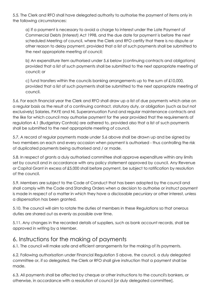5.5. The Clerk and RFO shall have delegated authority to authorise the payment of items only in the following circumstances:

a) If a payment is necessary to avoid a charge to interest under the Late Payment of Commercial Debts (Interest) Act 1998, and the due date for payment is before the next scheduled Meeting of council, where the Clerk and RFO certify that there is no dispute or other reason to delay payment, provided that a list of such payments shall be submitted to the next appropriate meeting of council;

b) An expenditure item authorised under 5.6 below (continuing contracts and obligations) provided that a list of such payments shall be submitted to the next appropriate meeting of council; or

c) fund transfers within the councils banking arrangements up to the sum of £10,000, provided that a list of such payments shall be submitted to the next appropriate meeting of council.

5.6. For each financial year the Clerk and RFO shall draw up a list of due payments which arise on a regular basis as the result of a continuing contract, statutory duty, or obligation (such as but not exclusively) Salaries, PAYE and NI, Superannuation Fund and regular maintenance contracts and the like for which council may authorise payment for the year provided that the requirements of regulation 4.1 (Budgetary Controls) are adhered to, provided also that a list of such payments shall be submitted to the next appropriate meeting of council.

5.7. A record of regular payments made under 5.6 above shall be drawn up and be signed by two members on each and every occasion when payment is authorised - thus controlling the risk of duplicated payments being authorised and / or made.

5.8. In respect of grants a duly authorised committee shall approve expenditure within any limits set by council and in accordance with any policy statement approved by council. Any Revenue or Capital Grant in excess of £5,000 shall before payment, be subject to ratification by resolution of the council.

5.9. Members are subject to the Code of Conduct that has been adopted by the council and shall comply with the Code and Standing Orders when a decision to authorise or instruct payment is made in respect of a matter in which they have a disclosable pecuniary or other interest, unless a dispensation has been granted.

5.10. The council will aim to rotate the duties of members in these Regulations so that onerous duties are shared out as evenly as possible over time.

5.11. Any changes in the recorded details of suppliers, such as bank account records, shall be approved in writing by a Member.

## <span id="page-7-0"></span>6. Instructions for the making of payments

6.1. The council will make safe and efficient arrangements for the making of its payments.

6.2. Following authorisation under Financial Regulation 5 above, the council, a duly delegated committee or, if so delegated, the Clerk or RFO shall give instruction that a payment shall be made.

6.3. All payments shall be affected by cheque or other instructions to the council's bankers, or otherwise, in accordance with a resolution of council [or duly delegated committee].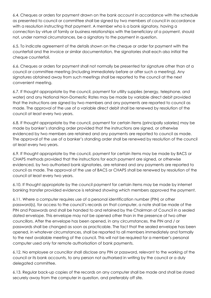6.4. Cheques or orders for payment drawn on the bank account in accordance with the schedule as presented to council or committee shall be signed by two members of council in accordance with a resolution instructing that payment. A member who is a bank signatory, having a connection by virtue of family or business relationships with the beneficiary of a payment, should not, under normal circumstances, be a signatory to the payment in question.

6.5. To indicate agreement of the details shown on the cheque or order for payment with the counterfoil and the invoice or similar documentation, the signatories shall each also initial the cheque counterfoil.

6.6. Cheques or orders for payment shall not normally be presented for signature other than at a council or committee meeting (including immediately before or after such a meeting). Any signatures obtained away from such meetings shall be reported to the council at the next convenient meeting.

6.7. If thought appropriate by the council, payment for utility supplies (energy, telephone, and water) and any National Non-Domestic Rates may be made by variable direct debit provided that the instructions are signed by two members and any payments are reported to council as made. The approval of the use of a variable direct debit shall be renewed by resolution of the council at least every two years.

6.8. If thought appropriate by the council, payment for certain items (principally salaries) may be made by banker's standing order provided that the instructions are signed, or otherwise evidenced by two members are retained and any payments are reported to council as made. The approval of the use of a banker's standing order shall be renewed by resolution of the council at least every two years.

6.9. If thought appropriate by the council, payment for certain items may be made by BACS or CHAPS methods provided that the instructions for each payment are signed, or otherwise evidenced, by two authorised bank signatories, are retained and any payments are reported to council as made. The approval of the use of BACS or CHAPS shall be renewed by resolution of the council at least every two years.

6.10. If thought appropriate by the council payment for certain items may be made by internet banking transfer provided evidence is retained showing which members approved the payment.

6.11. Where a computer requires use of a personal identification number (PIN) or other password(s), for access to the council's records on that computer, a note shall be made of the PIN and Passwords and shall be handed to and retained by the Chairman of Council in a sealed dated envelope. This envelope may not be opened other than in the presence of two other councillors. After the envelope has been opened, in any circumstances, the PIN and / or passwords shall be changed as soon as practicable. The fact that the sealed envelope has been opened, in whatever circumstances, shall be reported to all members immediately and formally to the next available meeting of the council. This will not be required for a member's personal computer used only for remote authorisation of bank payments.

6.12. No employee or councillor shall disclose any PIN or password, relevant to the working of the council or its bank accounts, to any person not authorised in writing by the council or a duly delegated committee.

6.13. Regular back-up copies of the records on any computer shall be made and shall be stored securely away from the computer in question, and preferably off site.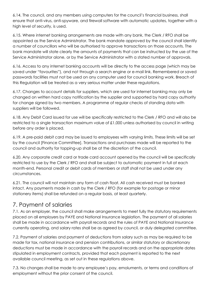6.14. The council, and any members using computers for the council's financial business, shall ensure that anti-virus, anti-spyware, and firewall software with automatic updates, together with a high level of security, is used.

6.15. Where internet banking arrangements are made with any bank, the Clerk / RFO shall be appointed as the Service Administrator. The bank mandate approved by the council shall identify a number of councillors who will be authorised to approve transactions on those accounts. The bank mandate will state clearly the amounts of payments that can be instructed by the use of the Service Administrator alone, or by the Service Administrator with a stated number of approvals.

6.16. Access to any internet banking accounts will be directly to the access page (which may be saved under "favourites"), and not through a search engine or e-mail link. Remembered or saved passwords facilities must not be used on any computer used for council banking work. Breach of this Regulation will be treated as a very serious matter under these regulations.

6.17. Changes to account details for suppliers, which are used for internet banking may only be changed on written hard copy notification by the supplier and supported by hard copy authority for change signed by two members. A programme of regular checks of standing data with suppliers will be followed.

6.18. Any Debit Card issued for use will be specifically restricted to the Clerk / RFO and will also be restricted to a single transaction maximum value of £1,000 unless authorised by council in writing before any order is placed.

6.19. A pre-paid debit card may be issued to employees with varying limits. These limits will be set by the council [Finance Committee]. Transactions and purchases made will be reported to the council and authority for topping-up shall be at the discretion of the council.

6.20. Any corporate credit card or trade card account opened by the council will be specifically restricted to use by the Clerk / RFO and shall be subject to automatic payment in full at each month-end. Personal credit or debit cards of members or staff shall not be used under any circumstances.

6.21. The council will not maintain any form of cash float. All cash received must be banked intact. Any payments made in cash by the Clerk / RFO (for example for postage or minor stationery items) shall be refunded on a regular basis, at least quarterly.

#### <span id="page-9-0"></span>7. Payment of salaries

7.1. As an employer, the council shall make arrangements to meet fully the statutory requirements placed on all employers by PAYE and National Insurance legislation. The payment of all salaries shall be made in accordance with payroll records and the rules of PAYE and National Insurance currently operating, and salary rates shall be as agreed by council, or duly delegated committee.

7.2. Payment of salaries and payment of deductions from salary such as may be required to be made for tax, national insurance and pension contributions, or similar statutory or discretionary deductions must be made in accordance with the payroll records and on the appropriate dates stipulated in employment contracts, provided that each payment is reported to the next available council meeting, as set out in these regulations above.

7.3. No changes shall be made to any employee's pay, emoluments, or terms and conditions of employment without the prior consent of the council.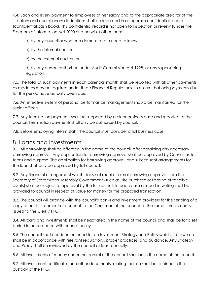7.4. Each and every payment to employees of net salary and to the appropriate creditor of the statutory and discretionary deductions shall be recorded in a separate confidential record (confidential cash book). This confidential record is not open to inspection or review (under the Freedom of Information Act 2000 or otherwise) other than:

a) by any councillor who can demonstrate a need to know;

b) by the internal auditor;

c) by the external auditor; or

d) by any person authorised under Audit Commission Act 1998, or any superseding legislation.

7.5. The total of such payments in each calendar month shall be reported with all other payments as made as may be required under these Financial Regulations, to ensure that only payments due for the period have actually been paid.

7.6. An effective system of personal performance management should be maintained for the senior officers.

7.7. Any termination payments shall be supported by a clear business case and reported to the council. Termination payments shall only be authorised by council.

7.8. Before employing interim staff, the council must consider a full business case.

#### <span id="page-10-0"></span>8. Loans and investments

8.1. All borrowings shall be affected in the name of the council, after obtaining any necessary borrowing approval. Any application for borrowing approval shall be approved by Council as to terms and purpose. The application for borrowing approval, and subsequent arrangements for the loan shall only be approved by full council.

8.2. Any financial arrangement which does not require formal borrowing approval from the Secretary of State/Welsh Assembly Government (such as Hire Purchase or Leasing of tangible assets) shall be subject to approval by the full council. In each case a report in writing shall be provided to council in respect of value for money for the proposed transaction.

8.3. The council will arrange with the council's banks and investment providers for the sending of a copy of each statement of account to the Chairman of the council at the same time as one is issued to the Clerk / RFO.

8.4. All loans and investments shall be negotiated in the name of the council and shall be for a set period in accordance with council policy.

8.5. The council shall consider the need for an Investment Strategy and Policy which, if drawn up, shall be in accordance with relevant regulations, proper practices, and guidance. Any Strategy and Policy shall be reviewed by the council at least annually.

8.6. All investments of money under the control of the council shall be in the name of the council.

8.7. All investment certificates and other documents relating thereto shall be retained in the custody of the RFO.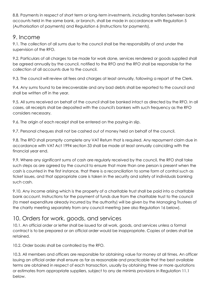8.8. Payments in respect of short term or long-term investments, including transfers between bank accounts held in the same bank, or branch, shall be made in accordance with Regulation 5 (Authorisation of payments) and Regulation 6 (Instructions for payments).

#### <span id="page-11-0"></span>9. Income

9.1. The collection of all sums due to the council shall be the responsibility of and under the supervision of the RFO.

9.2. Particulars of all charges to be made for work done, services rendered or goods supplied shall be agreed annually by the council, notified to the RFO and the RFO shall be responsible for the collection of all accounts due to the council.

9.3. The council will review all fees and charges at least annually, following a report of the Clerk.

9.4. Any sums found to be irrecoverable and any bad debts shall be reported to the council and shall be written off in the year.

9.5. All sums received on behalf of the council shall be banked intact as directed by the RFO. In all cases, all receipts shall be deposited with the council's bankers with such frequency as the RFO considers necessary.

9.6. The origin of each receipt shall be entered on the paying-in slip.

9.7. Personal cheques shall not be cashed out of money held on behalf of the council.

9.8. The RFO shall promptly complete any VAT Return that is required. Any repayment claim due in accordance with VAT Act 1994 section 33 shall be made at least annually coinciding with the financial year end.

9.9. Where any significant sums of cash are regularly received by the council, the RFO shall take such steps as are agreed by the council to ensure that more than one person is present when the cash is counted in the first instance, that there is a reconciliation to some form of control such as ticket issues, and that appropriate care is taken in the security and safety of individuals banking such cash.

9.10. Any income arising which is the property of a charitable trust shall be paid into a charitable bank account. Instructions for the payment of funds due from the charitable trust to the council (to meet expenditure already incurred by the authority) will be given by the Managing Trustees of the charity meeting separately from any council meeting (see also Regulation 16 below).

## <span id="page-11-1"></span>10. Orders for work, goods, and services

10.1. An official order or letter shall be issued for all work, goods, and services unless a formal contract is to be prepared or an official order would be inappropriate. Copies of orders shall be retained.

10.2. Order books shall be controlled by the RFO.

10.3. All members and officers are responsible for obtaining value for money at all times. An officer issuing an official order shall ensure as far as reasonable and practicable that the best available terms are obtained in respect of each transaction, usually by obtaining three or more quotations or estimates from appropriate suppliers, subject to any de minimis provisions in Regulation 11.1 below.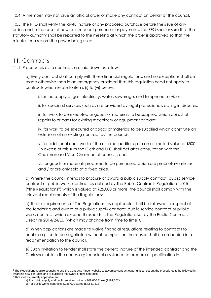10.4. A member may not issue an official order or make any contract on behalf of the council.

10.5. The RFO shall verify the lawful nature of any proposed purchase before the issue of any order, and in the case of new or infrequent purchases or payments, the RFO shall ensure that the statutory authority shall be reported to the meeting at which the order is approved so that the minutes can record the power being used.

### <span id="page-12-0"></span>11. Contracts

11.1. Procedures as to contracts are laid down as follows:

a) Every contract shall comply with these financial regulations, and no exceptions shall be made otherwise than in an emergency provided that this regulation need not apply to contracts which relate to items (i) to (vi) below:

i. for the supply of gas, electricity, water, sewerage, and telephone services;

ii. for specialist services such as are provided by legal professionals acting in disputes;

iii. for work to be executed or goods or materials to be supplied which consist of repairs to or parts for existing machinery or equipment or plant;

iv. for work to be executed or goods or materials to be supplied which constitute an extension of an existing contract by the council;

v. for additional audit work of the external auditor up to an estimated value of £500 (in excess of this sum the Clerk and RFO shall act after consultation with the Chairman and Vice Chairman of council); and

vi. for goods or materials proposed to be purchased which are proprietary articles and / or are only sold at a fixed price.

b) Where the council intends to procure or award a public supply contract, public service contract or public works contract as defined by The Public Contracts Regulations 2015 ("the Regulations") which is valued at £25,000 or more, the council shall comply with the relevant requirements of the Regulations<sup>2</sup>.

c) The full requirements of The Regulations, as applicable, shall be followed in respect of the tendering and award of a public supply contract, public service contract or public works contract which exceed thresholds in The Regulations set by the Public Contracts Directive 2014/24/EU (which may change from time to time)<sup>3</sup>.

d) When applications are made to waive financial regulations relating to contracts to enable a price to be negotiated without competition the reason shall be embodied in a recommendation to the council.

e) Such invitation to tender shall state the general nature of the intended contract and the Clerk shall obtain the necessary technical assistance to prepare a specification in

<sup>3</sup> Thresholds currently applicable are:

<sup>&</sup>lt;sup>2</sup> The Regulations require councils to use the Contracts Finder website to advertise contract opportunities, set out the procedures to be followed in awarding new contracts and to publicise the award of new contracts

a) For public supply and public service contracts 209,000 Euros (£181,302)

b) For public works contracts 5,225,000 Euros (£4,551,413)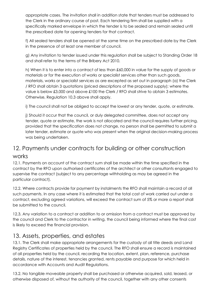appropriate cases. The invitation shall in addition state that tenders must be addressed to the Clerk in the ordinary course of post. Each tendering firm shall be supplied with a specifically marked envelope in which the tender is to be sealed and remain sealed until the prescribed date for opening tenders for that contract.

f) All sealed tenders shall be opened at the same time on the prescribed date by the Clerk in the presence of at least one member of council.

g) Any invitation to tender issued under this regulation shall be subject to Standing Order 18 and shall refer to the terms of the Bribery Act 2010.

h) When it is to enter into a contract of less than £60,000 in value for the supply of goods or materials or for the execution of works or specialist services other than such goods, materials, works or specialist services as are excepted as set out in paragraph (a) the Clerk / RFO shall obtain 3 quotations (priced descriptions of the proposed supply); where the value is below £3,000 and above £100 the Clerk / RFO shall strive to obtain 3 estimates. Otherwise, Regulation 10.3 above shall apply.

i) The council shall not be obliged to accept the lowest or any tender, quote, or estimate.

j) Should it occur that the council, or duly delegated committee, does not accept any tender, quote or estimate, the work is not allocated and the council requires further pricing, provided that the specification does not change, no person shall be permitted to submit a later tender, estimate or quote who was present when the original decision-making process was being undertaken.

#### <span id="page-13-0"></span>12. Payments under contracts for building or other construction

#### works

12.1. Payments on account of the contract sum shall be made within the time specified in the contract by the RFO upon authorised certificates of the architect or other consultants engaged to supervise the contract (subject to any percentage withholding as may be agreed in the particular contract).

12.2. Where contracts provide for payment by instalments the RFO shall maintain a record of all such payments. In any case where it is estimated that the total cost of work carried out under a contract, excluding agreed variations, will exceed the contract sum of 5% or more a report shall be submitted to the council.

12.3. Any variation to a contract or addition to or omission from a contract must be approved by the council and Clerk to the contractor in writing, the council being informed where the final cost is likely to exceed the financial provision.

## <span id="page-13-1"></span>13. Assets, properties, and estates

13.1. The Clerk shall make appropriate arrangements for the custody of all title deeds and Land Registry Certificates of properties held by the council. The RFO shall ensure a record is maintained of all properties held by the council, recording the location, extent, plan, reference, purchase details, nature of the interest, tenancies granted, rents payable and purpose for which held in accordance with Accounts and Audit Regulations.

13.2. No tangible moveable property shall be purchased or otherwise acquired, sold, leased, or otherwise disposed of, without the authority of the council, together with any other consents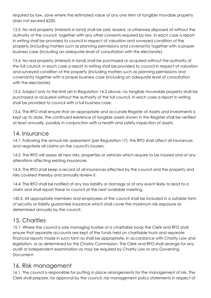required by law, save where the estimated value of any one item of tangible movable property does not exceed £250.

13.3. No real property (interests in land) shall be sold, leased, or otherwise disposed of without the authority of the council, together with any other consents required by law. In each case a report in writing shall be provided to council in respect of valuation and surveyed condition of the property (including matters such as planning permissions and covenants) together with a proper business case (including an adequate level of consultation with the electorate).

13.4. No real property (interests in land) shall be purchased or acquired without the authority of the full council. In each case a report in writing shall be provided to council in respect of valuation and surveyed condition of the property (including matters such as planning permissions and covenants) together with a proper business case (including an adequate level of consultation with the electorate).

13.5. Subject only to the limit set in Regulation 14.2 above, no tangible moveable property shall be purchased or acquired without the authority of the full council. In each case a report in writing shall be provided to council with a full business case.

13.6. The RFO shall ensure that an appropriate and accurate Register of Assets and Investments is kept up to date. The continued existence of tangible assets shown in the Register shall be verified at least annually, possibly in conjunction with a health and safety inspection of assets.

#### <span id="page-14-0"></span>14. Insurance

14.1. Following the annual risk assessment (per Regulation 17), the RFO shall affect all insurances and negotiate all claims on the council's insurers.

14.2. The RFO will assess all new risks, properties or vehicles which require to be insured and of any alterations affecting existing insurances.

14.3. The RFO shall keep a record of all insurances effected by the council and the property and risks covered thereby and annually review it.

14.4. The RFO shall be notified of any loss liability or damage or of any event likely to lead to a claim and shall report these to council at the next available meeting.

145.5. All appropriate members and employees of the council shall be included in a suitable form of security or fidelity guarantee insurance which shall cover the maximum risk exposure as determined annually by the council.

## <span id="page-14-1"></span>15. Charities

15.1. Where the council is sole managing trustee of a charitable body the Clerk and RFO shall ensure that separate accounts are kept of the funds held on charitable trusts and separate financial reports made in such form as shall be appropriate, in accordance with Charity Law and legislation, or as determined by the Charity Commission. The Clerk and RFO shall arrange for any audit or independent examination as may be required by Charity Law or any Governing Document.

#### <span id="page-14-2"></span>16. Risk management

16.1. The council is responsible for putting in place arrangements for the management of risk. The Clerk shall prepare, for approval by the council, risk management policy statements in respect of